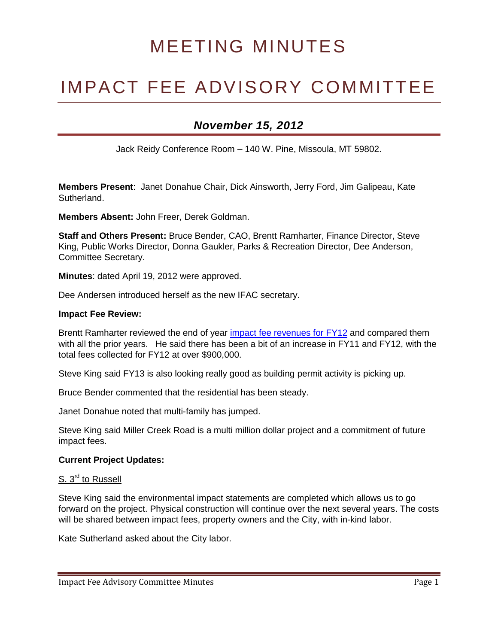# MEETING MINUTES

## IMPACT FEE ADVISORY COMMITTEE

### *November 15, 2012*

Jack Reidy Conference Room – 140 W. Pine, Missoula, MT 59802.

**Members Present**: Janet Donahue Chair, Dick Ainsworth, Jerry Ford, Jim Galipeau, Kate Sutherland.

**Members Absent:** John Freer, Derek Goldman.

**Staff and Others Present:** Bruce Bender, CAO, Brentt Ramharter, Finance Director, Steve King, Public Works Director, Donna Gaukler, Parks & Recreation Director, Dee Anderson, Committee Secretary.

**Minutes**: dated April 19, 2012 were approved.

Dee Andersen introduced herself as the new IFAC secretary.

#### **Impact Fee Review:**

Brentt Ramharter reviewed the end of year [impact fee revenues](http://www.ci.missoula.mt.us/index.aspx?NID=1117) for FY12 and compared them with all the prior years. He said there has been a bit of an increase in FY11 and FY12, with the total fees collected for FY12 at over \$900,000.

Steve King said FY13 is also looking really good as building permit activity is picking up.

Bruce Bender commented that the residential has been steady.

Janet Donahue noted that multi-family has jumped.

Steve King said Miller Creek Road is a multi million dollar project and a commitment of future impact fees.

#### **Current Project Updates:**

#### S. 3<sup>rd</sup> to Russell

Steve King said the environmental impact statements are completed which allows us to go forward on the project. Physical construction will continue over the next several years. The costs will be shared between impact fees, property owners and the City, with in-kind labor.

Kate Sutherland asked about the City labor.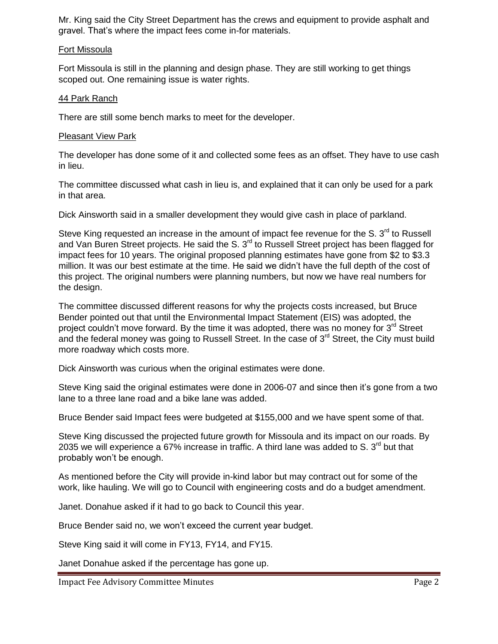Mr. King said the City Street Department has the crews and equipment to provide asphalt and gravel. That's where the impact fees come in-for materials.

#### Fort Missoula

Fort Missoula is still in the planning and design phase. They are still working to get things scoped out. One remaining issue is water rights.

#### 44 Park Ranch

There are still some bench marks to meet for the developer.

#### Pleasant View Park

The developer has done some of it and collected some fees as an offset. They have to use cash in lieu.

The committee discussed what cash in lieu is, and explained that it can only be used for a park in that area.

Dick Ainsworth said in a smaller development they would give cash in place of parkland.

Steve King requested an increase in the amount of impact fee revenue for the S. 3<sup>rd</sup> to Russell and Van Buren Street projects. He said the S.  $3<sup>rd</sup>$  to Russell Street project has been flagged for impact fees for 10 years. The original proposed planning estimates have gone from \$2 to \$3.3 million. It was our best estimate at the time. He said we didn't have the full depth of the cost of this project. The original numbers were planning numbers, but now we have real numbers for the design.

The committee discussed different reasons for why the projects costs increased, but Bruce Bender pointed out that until the Environmental Impact Statement (EIS) was adopted, the project couldn't move forward. By the time it was adopted, there was no money for  $3<sup>rd</sup>$  Street and the federal money was going to Russell Street. In the case of 3<sup>rd</sup> Street, the City must build more roadway which costs more.

Dick Ainsworth was curious when the original estimates were done.

Steve King said the original estimates were done in 2006-07 and since then it's gone from a two lane to a three lane road and a bike lane was added.

Bruce Bender said Impact fees were budgeted at \$155,000 and we have spent some of that.

Steve King discussed the projected future growth for Missoula and its impact on our roads. By 2035 we will experience a 67% increase in traffic. A third lane was added to S.  $3<sup>rd</sup>$  but that probably won't be enough.

As mentioned before the City will provide in-kind labor but may contract out for some of the work, like hauling. We will go to Council with engineering costs and do a budget amendment.

Janet. Donahue asked if it had to go back to Council this year.

Bruce Bender said no, we won't exceed the current year budget.

Steve King said it will come in FY13, FY14, and FY15.

Janet Donahue asked if the percentage has gone up.

Impact Fee Advisory Committee Minutes **Page 2**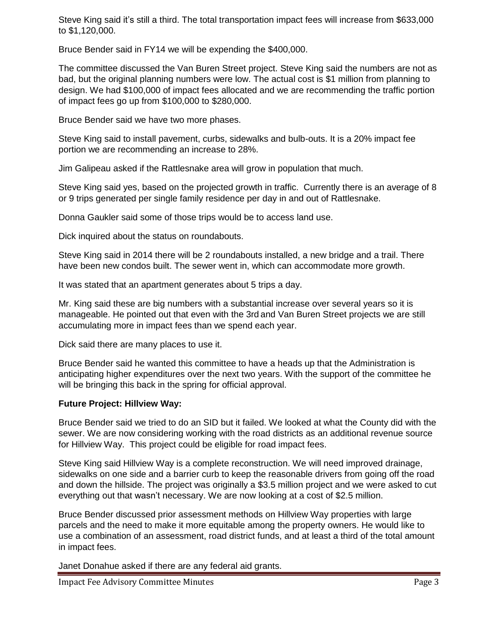Steve King said it's still a third. The total transportation impact fees will increase from \$633,000 to \$1,120,000.

Bruce Bender said in FY14 we will be expending the \$400,000.

The committee discussed the Van Buren Street project. Steve King said the numbers are not as bad, but the original planning numbers were low. The actual cost is \$1 million from planning to design. We had \$100,000 of impact fees allocated and we are recommending the traffic portion of impact fees go up from \$100,000 to \$280,000.

Bruce Bender said we have two more phases.

Steve King said to install pavement, curbs, sidewalks and bulb-outs. It is a 20% impact fee portion we are recommending an increase to 28%.

Jim Galipeau asked if the Rattlesnake area will grow in population that much.

Steve King said yes, based on the projected growth in traffic. Currently there is an average of 8 or 9 trips generated per single family residence per day in and out of Rattlesnake.

Donna Gaukler said some of those trips would be to access land use.

Dick inquired about the status on roundabouts.

Steve King said in 2014 there will be 2 roundabouts installed, a new bridge and a trail. There have been new condos built. The sewer went in, which can accommodate more growth.

It was stated that an apartment generates about 5 trips a day.

Mr. King said these are big numbers with a substantial increase over several years so it is manageable. He pointed out that even with the 3rd and Van Buren Street projects we are still accumulating more in impact fees than we spend each year.

Dick said there are many places to use it.

Bruce Bender said he wanted this committee to have a heads up that the Administration is anticipating higher expenditures over the next two years. With the support of the committee he will be bringing this back in the spring for official approval.

#### **Future Project: Hillview Way:**

Bruce Bender said we tried to do an SID but it failed. We looked at what the County did with the sewer. We are now considering working with the road districts as an additional revenue source for Hillview Way. This project could be eligible for road impact fees.

Steve King said Hillview Way is a complete reconstruction. We will need improved drainage, sidewalks on one side and a barrier curb to keep the reasonable drivers from going off the road and down the hillside. The project was originally a \$3.5 million project and we were asked to cut everything out that wasn't necessary. We are now looking at a cost of \$2.5 million.

Bruce Bender discussed prior assessment methods on Hillview Way properties with large parcels and the need to make it more equitable among the property owners. He would like to use a combination of an assessment, road district funds, and at least a third of the total amount in impact fees.

Janet Donahue asked if there are any federal aid grants.